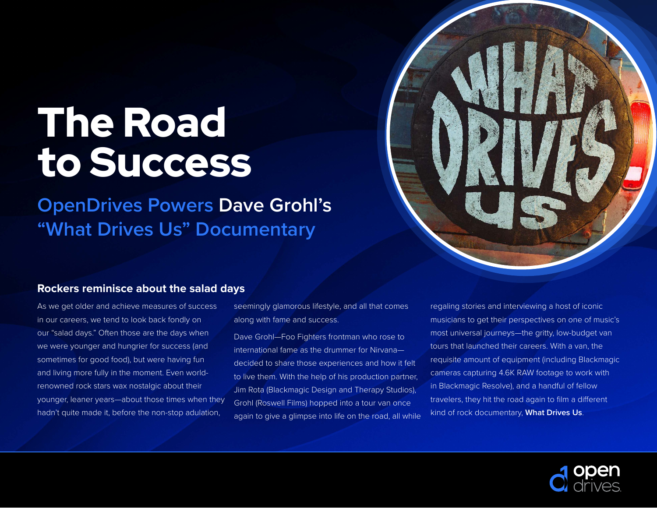# The Road to Success

**OpenDrives Powers Dave Grohl's "What Drives Us" Documentary**

#### **Rockers reminisce about the salad days**

As we get older and achieve measures of success in our careers, we tend to look back fondly on our "salad days." Often those are the days when we were younger and hungrier for success (and sometimes for good food), but were having fun and living more fully in the moment. Even worldrenowned rock stars wax nostalgic about their younger, leaner years—about those times when they hadn't quite made it, before the non-stop adulation,

seemingly glamorous lifestyle, and all that comes along with fame and success.

Dave Grohl—Foo Fighters frontman who rose to international fame as the drummer for Nirvana decided to share those experiences and how it felt to live them. With the help of his production partner, Jim Rota (Blackmagic Design and Therapy Studios), Grohl (Roswell Films) hopped into a tour van once again to give a glimpse into life on the road, all while regaling stories and interviewing a host of iconic musicians to get their perspectives on one of music's most universal journeys—the gritty, low-budget van tours that launched their careers. With a van, the requisite amount of equipment (including Blackmagic cameras capturing 4.6K RAW footage to work with in Blackmagic Resolve), and a handful of fellow travelers, they hit the road again to film a different kind of rock documentary, **What Drives Us**.

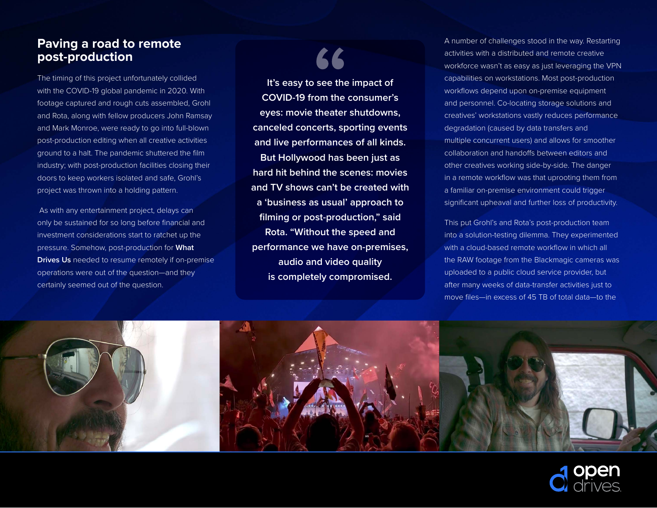### **Paving a road to remote post-production**

The timing of this project unfortunately collided with the COVID-19 global pandemic in 2020. With footage captured and rough cuts assembled, Grohl and Rota, along with fellow producers John Ramsay and Mark Monroe, were ready to go into full-blown post-production editing when all creative activities ground to a halt. The pandemic shuttered the film industry; with post-production facilities closing their doors to keep workers isolated and safe, Grohl's project was thrown into a holding pattern.

 As with any entertainment project, delays can only be sustained for so long before financial and investment considerations start to ratchet up the pressure. Somehow, post-production for **What Drives Us** needed to resume remotely if on-premise operations were out of the question—and they certainly seemed out of the question.

## 66

**It's easy to see the impact of COVID-19 from the consumer's eyes: movie theater shutdowns, canceled concerts, sporting events and live performances of all kinds. But Hollywood has been just as hard hit behind the scenes: movies and TV shows can't be created with a 'business as usual' approach to filming or post-production," said Rota. "Without the speed and performance we have on-premises, audio and video quality is completely compromised.**

A number of challenges stood in the way. Restarting activities with a distributed and remote creative workforce wasn't as easy as just leveraging the VPN capabilities on workstations. Most post-production workflows depend upon on-premise equipment and personnel. Co-locating storage solutions and creatives' workstations vastly reduces performance degradation (caused by data transfers and multiple concurrent users) and allows for smoother collaboration and handoffs between editors and other creatives working side-by-side. The danger in a remote workflow was that uprooting them from a familiar on-premise environment could trigger significant upheaval and further loss of productivity.

This put Grohl's and Rota's post-production team into a solution-testing dilemma. They experimented with a cloud-based remote workflow in which all the RAW footage from the Blackmagic cameras was uploaded to a public cloud service provider, but after many weeks of data-transfer activities just to move files—in excess of 45 TB of total data—to the